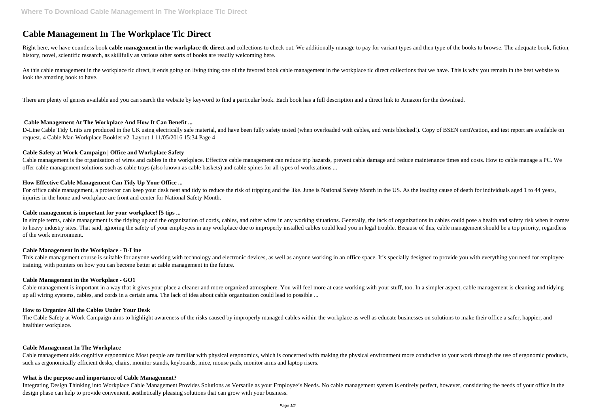# **Cable Management In The Workplace Tlc Direct**

Right here, we have countless book cable management in the workplace tlc direct and collections to check out. We additionally manage to pay for variant types and then type of the books to browse. The adequate book, fiction history, novel, scientific research, as skillfully as various other sorts of books are readily welcoming here.

As this cable management in the workplace tlc direct, it ends going on living thing one of the favored book cable management in the workplace tlc direct collections that we have. This is why you remain in the best website look the amazing book to have.

D-Line Cable Tidy Units are produced in the UK using electrically safe material, and have been fully safety tested (when overloaded with cables, and vents blocked!). Copy of BSEN certi?cation, and test report are available request. 4 Cable Man Workplace Booklet v2\_Layout 1 11/05/2016 15:34 Page 4

There are plenty of genres available and you can search the website by keyword to find a particular book. Each book has a full description and a direct link to Amazon for the download.

# **Cable Management At The Workplace And How It Can Benefit ...**

For office cable management, a protector can keep your desk neat and tidy to reduce the risk of tripping and the like. June is National Safety Month in the US. As the leading cause of death for individuals aged 1 to 44 yea injuries in the home and workplace are front and center for National Safety Month.

# **Cable Safety at Work Campaign | Office and Workplace Safety**

In simple terms, cable management is the tidying up and the organization of cords, cables, and other wires in any working situations. Generally, the lack of organizations in cables could pose a health and safety risk when to heavy industry sites. That said, ignoring the safety of your employees in any workplace due to improperly installed cables could lead you in legal trouble. Because of this, cable management should be a top priority, reg of the work environment.

This cable management course is suitable for anyone working with technology and electronic devices, as well as anyone working in an office space. It's specially designed to provide you with everything you need for employee training, with pointers on how you can become better at cable management in the future.

Cable management is the organisation of wires and cables in the workplace. Effective cable management can reduce trip hazards, prevent cable damage and reduce maintenance times and costs. How to cable manage a PC. We offer cable management solutions such as cable trays (also known as cable baskets) and cable spines for all types of workstations ...

# **How Effective Cable Management Can Tidy Up Your Office ...**

# **Cable management is important for your workplace! [5 tips ...**

## **Cable Management in the Workplace - D-Line**

## **Cable Management in the Workplace - GO1**

Cable management is important in a way that it gives your place a cleaner and more organized atmosphere. You will feel more at ease working with your stuff, too. In a simpler aspect, cable management is cleaning and tidying up all wiring systems, cables, and cords in a certain area. The lack of idea about cable organization could lead to possible ...

## **How to Organize All the Cables Under Your Desk**

The Cable Safety at Work Campaign aims to highlight awareness of the risks caused by improperly managed cables within the workplace as well as educate businesses on solutions to make their office a safer, happier, and healthier workplace.

## **Cable Management In The Workplace**

Cable management aids cognitive ergonomics: Most people are familiar with physical ergonomics, which is concerned with making the physical environment more conducive to your work through the use of ergonomic products, such as ergonomically efficient desks, chairs, monitor stands, keyboards, mice, mouse pads, monitor arms and laptop risers.

## **What is the purpose and importance of Cable Management?**

Integrating Design Thinking into Workplace Cable Management Provides Solutions as Versatile as your Employee's Needs. No cable management system is entirely perfect, however, considering the needs of your office in the design phase can help to provide convenient, aesthetically pleasing solutions that can grow with your business.